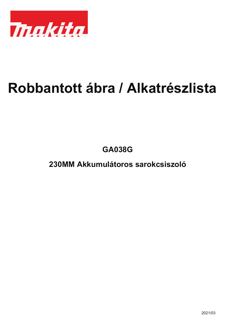

## **Robbantott ábra / Alkatrészlista**

**GA038G**

**230MM Akkumulátoros sarokcsiszoló**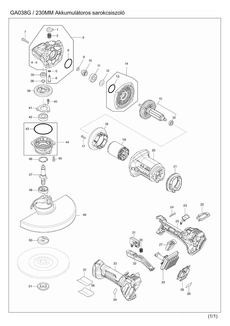## GA038G / 230MM Akkumulátoros sarokcsiszoló

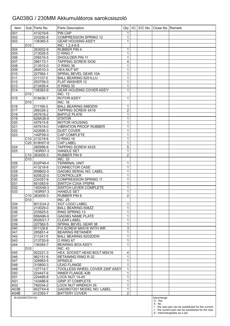## GA038G / 230MM Akkumulátoros sarokcsiszoló

| Item                                 |                 | Sub   Parts No.          | Parts Description                                  | Qty              | I/C | E/C No. Close No. Remark |                                                                                                             |
|--------------------------------------|-----------------|--------------------------|----------------------------------------------------|------------------|-----|--------------------------|-------------------------------------------------------------------------------------------------------------|
| 001                                  |                 | 413219-6                 | <b>PIN CAP</b>                                     | $\mathbf 1$      |     |                          |                                                                                                             |
| 002                                  |                 | 233292-8                 | <b>COMPRESSION SPRING 12</b>                       | 1                |     |                          |                                                                                                             |
| 003                                  |                 | 136365-5                 | <b>GEAR HOUSING ASS'Y</b>                          | 1                |     |                          |                                                                                                             |
|                                      | D <sub>10</sub> |                          | INC. 1,2,4-6,8                                     |                  |     |                          |                                                                                                             |
| 004                                  |                 | 263002-9                 | <b>RUBBER PIN 4</b>                                | 1                |     |                          |                                                                                                             |
| 005                                  |                 | 213026-5                 | O RING 7                                           | 1                |     |                          |                                                                                                             |
| 006                                  |                 | 256516-5                 | SHOULDER PIN 11                                    | 1                |     |                          |                                                                                                             |
| 007                                  |                 | 266173-1                 | <b>TAPPING SCREW 5X30</b><br>O RING 36             | 4                |     |                          |                                                                                                             |
| 008<br>009                           |                 | 213510-0<br>264010-3     | HEX.NUT M7                                         | 1<br>1           |     |                          |                                                                                                             |
| 010                                  |                 | 227564-1                 | SPIRAL BEVEL GEAR 10A                              | 1                |     |                          |                                                                                                             |
| 011                                  |                 | 211137-0                 | <b>BALL BEARING 6201LLU</b>                        | 1                |     |                          |                                                                                                             |
| $\overline{012}$                     |                 | 253759-0                 | FLAT WASHER 12                                     | $\mathbf 1$      |     |                          |                                                                                                             |
| $\overline{013}$                     |                 | 213459-4                 | O RING 32                                          | 1                |     |                          |                                                                                                             |
| 014                                  |                 | 136363-9                 | GEAR HOUSING COVER ASS'Y                           | 1                |     |                          |                                                                                                             |
|                                      | D <sub>10</sub> |                          | <b>INC. 13</b>                                     |                  |     |                          |                                                                                                             |
| 015                                  |                 | 519436-7                 | <b>ROTOR ASS'Y</b>                                 | $\mathbf 1$      |     |                          |                                                                                                             |
|                                      | D <sub>10</sub> |                          | <b>INC. 16</b>                                     |                  |     |                          |                                                                                                             |
| 016                                  |                 | 211166-3                 | <b>BALL BEARING 698DDW</b>                         | 1                |     |                          |                                                                                                             |
| $\overline{017}$                     |                 | 266326-2                 | <b>TAPPING SCREW 4X18</b>                          | $\overline{2}$   |     |                          |                                                                                                             |
| 018                                  |                 | 457618-2                 | <b>BAFFLE PLATE</b>                                | 1                |     |                          |                                                                                                             |
| 019                                  |                 | 629A38-8                 | <b>STATOR</b>                                      | 1                |     |                          |                                                                                                             |
| 020                                  |                 | 457615-8<br>457619-0     | <b>MOTOR HOUSING</b>                               | 1                |     |                          |                                                                                                             |
| $\overline{021}$<br>$\overline{022}$ |                 | 422656-3                 | <b>VIBRATION PROOF RUBBER</b><br><b>DUST COVER</b> | 1<br>1           |     |                          |                                                                                                             |
| 023                                  |                 | 140F99-0                 | <b>CAP COMPLETE</b>                                | 1                |     |                          |                                                                                                             |
|                                      |                 | C <sub>10</sub> 213218-6 | O RING 16                                          | 1                |     |                          |                                                                                                             |
|                                      |                 | C20 818H07-8             | <b>CAP LABEL</b>                                   | 1                |     |                          |                                                                                                             |
| 024                                  |                 | 265999-8                 | <b>TAPPING SCREW 4X25</b>                          | 5                |     |                          |                                                                                                             |
| 025                                  |                 | 183R97-3                 | <b>HANDLE SET</b>                                  | 1                |     |                          |                                                                                                             |
|                                      |                 | C10 263005-3             | RUBBER PIN 6                                       | $\overline{2}$   |     |                          |                                                                                                             |
|                                      | D <sub>10</sub> |                          | <b>INC. 33</b>                                     |                  |     |                          |                                                                                                             |
| $\overline{026}$                     |                 | 632P49-4                 | <b>TERMINAL UNIT</b>                               | 1                |     |                          |                                                                                                             |
| 027                                  |                 | 413218-8                 | <b>CONNECTOR CASE</b>                              | 1                |     |                          |                                                                                                             |
| 028                                  |                 | 858B02-0                 | GA038G SERIAL NO. LABEL                            | 1                |     |                          |                                                                                                             |
| 029                                  |                 | 620E22-0                 | <b>CONTROLLER</b>                                  | 1                |     |                          |                                                                                                             |
| $\overline{030}$                     |                 | 234357-9                 | <b>COMPRESSION SPRING 11</b>                       | 1                |     |                          |                                                                                                             |
| 031                                  |                 | 651083-9                 | SWITCH C3XA-1PSPM                                  | 1                |     |                          |                                                                                                             |
| 032<br>033                           |                 | 140X49-3<br>183R97-3     | SWITCH LEVER COMPLETE<br><b>HANDLE SET</b>         | 1<br>$\mathbf 1$ |     |                          |                                                                                                             |
|                                      |                 | C <sub>10</sub> 263005-3 | RUBBER PIN 6                                       | $\overline{c}$   |     |                          |                                                                                                             |
|                                      | D <sub>10</sub> |                          | <b>INC. 25</b>                                     |                  |     |                          |                                                                                                             |
| 034                                  |                 | 8012U4-2                 | <b>XGT LOGO LABEL</b>                              | 1                |     |                          |                                                                                                             |
| 035                                  |                 | 210029-0                 | <b>BALL BEARING 608ZZ</b>                          | 1                |     |                          |                                                                                                             |
| 036                                  |                 | 233925-5                 | RING SPRING 13                                     | 1                |     |                          |                                                                                                             |
| 037                                  |                 | 858A96-9                 | GA038G NAME PLATE                                  | 1                |     |                          |                                                                                                             |
| 038                                  |                 | 8026G1-7                 | <b>CLEAR LABEL</b>                                 | 1                |     |                          |                                                                                                             |
| 039                                  |                 | 227562-5                 | SPIRAL BEVEL GEAR 38                               | $\mathbf 1$      |     |                          |                                                                                                             |
| 040                                  |                 | 911128-8                 | P.H.SCREW M4X16 WITH WR                            | 3                |     |                          |                                                                                                             |
| 041                                  |                 | 285851-4                 | <b>BEARING RETAINER</b>                            | 1                |     |                          |                                                                                                             |
| 042                                  |                 | 211241-5                 | BALL BEARING 6202DDW                               | 1                |     |                          |                                                                                                             |
| 043                                  |                 | 213720-9                 | O RING 67                                          | 1                |     |                          |                                                                                                             |
| 044                                  | D <sub>10</sub> | 136364-7                 | <b>BEARING BOX ASS'Y</b><br><b>INC. 43</b>         | 1                |     |                          |                                                                                                             |
| 045                                  |                 | 922221-3                 | HEX. SOCKET HEAD BOLT M5X16                        | 4                |     |                          |                                                                                                             |
| 046                                  |                 | 962151-6                 | <b>RETAINING RING R-32</b>                         | 1                |     |                          |                                                                                                             |
| 047                                  |                 | 326963-5                 | SPINDLE                                            | 1                |     |                          |                                                                                                             |
| 048                                  |                 | 310800-3                 | <b>LEAD FLANGE</b>                                 | 1                |     |                          |                                                                                                             |
| 049                                  |                 | 127714-7                 | TOOLLESS WHEEL COVER 230F ASSY                     | 1                |     |                          |                                                                                                             |
| 050                                  |                 | 224447-6                 | <b>INNER FLANGE 42B</b>                            | $\mathbf 1$      |     |                          |                                                                                                             |
| 051                                  |                 | 224485-8                 | LOCK NUT 14-45                                     | 1                |     |                          |                                                                                                             |
| A01                                  |                 | 143486-6                 | <b>GRIP 37 COMPLETE</b>                            | 1                |     |                          |                                                                                                             |
| A02                                  |                 | 782034-2                 | LOCK NUT WRENCH 35                                 | 1                |     |                          |                                                                                                             |
| A03B                                 |                 | 8027X4-6                 | GA038GT201 MODEL NO. LABEL                         | $\mathbf 1$      |     |                          |                                                                                                             |
| A04B                                 |                 | 412393-7                 | <b>BATTERY COVER</b>                               | $\overline{2}$   |     |                          |                                                                                                             |
| B:GA038GT201(H)                      |                 |                          |                                                    |                  |     | Interchange<br>O: Yes    |                                                                                                             |
|                                      |                 |                          |                                                    |                  |     | $X:$ No                  |                                                                                                             |
|                                      |                 |                          |                                                    |                  |     |                          | <: the new part can be substituted for the current.<br>> : the current part can be substituted for the new. |
|                                      |                 |                          |                                                    |                  |     |                          | S : Interchangeable as a set.                                                                               |